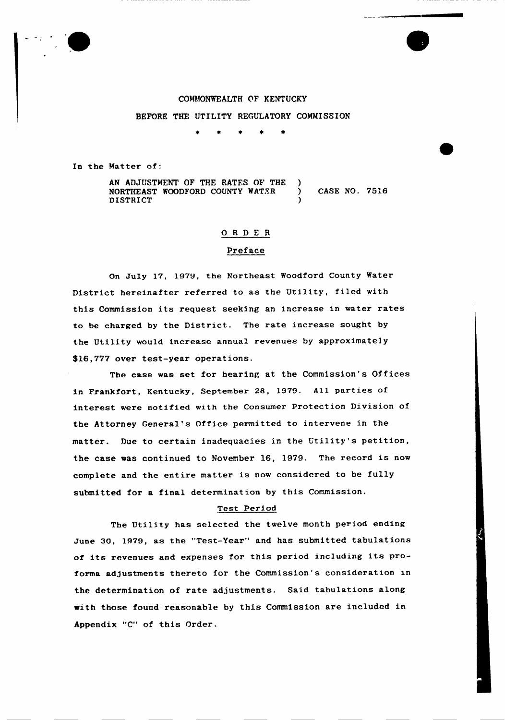

#### COMMONWEALTH OF KENTUCKY

BEFORE THE UTILITY REGULATORY COMMISSION

In the Natter of:

AN ADJUSTMENT OF THE RATES OF THE NORTIIEAST WOODFORD COUNTY WATER ) CASE NO. 7516 **DISTRICT** 

### 0RDE <sup>R</sup>

## Preface

On July 17, 1979, the Northeast Woodford County Water District hereinafter referred to as the Utility, filed with this Commission its request seeking an increase in water rates to be charged by the District. The rate increase sought by the Utility would increase annual revenues by approximately \$16,777 over test-year operations.

The case was set for hearing at the Commission's Offices in Frankfort, Kentucky, September 28, 1979. All parties of interest were notified with the Consumer Protection Division of the Attorney General's Office permitted to intervene in the matter. Due to certain inadequacies in the Utility's petition, the case was continued to November 16, 1979. The record is now complete and the entire matter is now considered to be fully submitted for a final determination by this Commission.

#### Test Period

The Utility has selected the twelve month period ending June 30, 1979, as the "Test-Year" and has submitted tabulations of its revenues and expenses for this period including its proforma adjustments thereto for the Commission's consideration in the determination of rate adjustments. Said tabulations along with those found reasonable by this Commission are included in Appendix "C" of this Order.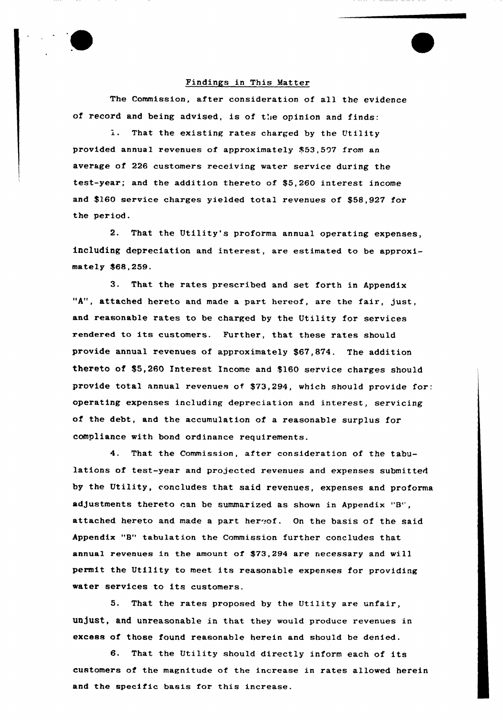### Findings in This Matter

The Commission, after consideration of all the evidence of record and being advised, is of the opinion and finds:

That the existing rates charged by the Utility provided annual revenues of approximately \$53,507 from an average of 226 customers receiving water service during the test-year; and the addition thereto of \$5,260 interest income and \$160 service charges yielded total revenues of \$58,927 for the period.

2. That the Utility's proforma annual operating expenses, including depreciation and interest, are estimated to be approximately \$68,259.

3. That the rates prescribed and set forth in Appendix "A", attached hereto and made <sup>a</sup> part hereof, are the fair, just, and reasonable rates to be charged by the Utility for services rendered to its customers. Further, that these rates should provide annual revenues of approximately \$67,874. The addition thereto of \$5,260 Interest Income and \$160 service charges should provide total annual revenues of \$73,294, which should provide for: operating expenses including depreciation and interest, servicing of the debt, and the accumulation of a reasonable surplus for compliance with bond ordinance requirements.

4. That the Commission, after consideration of the tabulations of test-year and projected revenues and expenses submitted by the Utility, concludes that said revenues, expenses and proforma adjustments thereto ran be summarized as shown in Appendix "B', attached hereto and made a part hereof. On the basis of the said Appendix "B" tabulation the Commission further concludes that annual revenues in the amount of \$73,294 are necessary and will permit the Utility to meet its reasonable expenses for providing water services to its customers.

5. That the rates proposed by the Utility are unfair, unjust, and unreasonable in that they would produce revenues in excess of those found reasonable herein and should be denied.

6. That the Utility should directly inform each of its customers of the magnitude of the increase in rates allowed herein and the specific basis for this increase.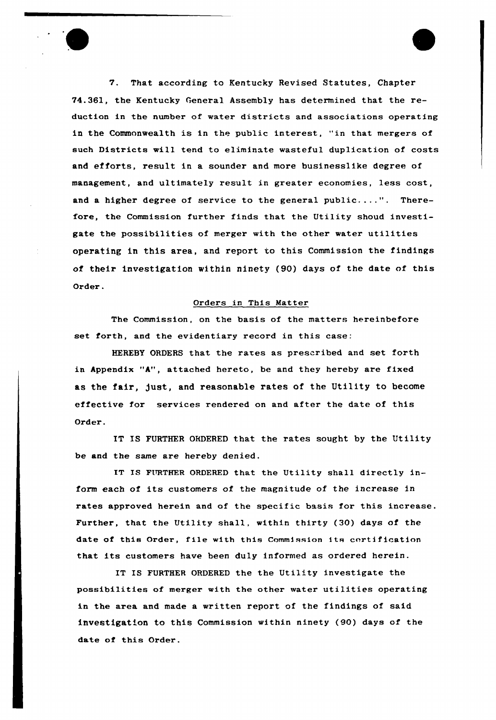

7. That according to Kentucky Revised Statutes, Chapter 74.361, the Kentucky General Assembly has determined that the reduction in the number of water districts and associations operating in the Commonwealth is in the public interest, "in that mergers of such Districts will tend to eliminate wasteful duplication of costs and efforts, result in a sounder and more businesslike degree of management, and ultimately result in greater economies, less cost, and <sup>a</sup> higher degree of service to the general public....". Therefore, the Commission further finds that the Utility shoud investigate the possibilities of merger with the other water utilities operating in this area, and report to this Commission the findings of their investigation within ninety (90} days of the date of this Order.

# Orders in This Matter

The Commission, on the basis of the matters hereinbefore set forth, and the evidentiary record in this case:

HEREBY ORDERS that the rates as prescribed and set forth in Appendix "A", attached hereto, be and they hereby are fixed as the fair, just, and reasonable rates of the Utility to become effective for services rendered on and after the date of this Order.

IT IS FURTHER ORDERED that the rates sought by the Utility be and the same are hereby denied.

IT IS FURTHER ORDERED that the Utility shall directly inform each of its customers of the magnitude of the increase in rates approved herein and of the specific basis for this increase. Further, that the Utility shall, within thirty (30) days of the date of this Order, file with this Commission its certification that its customers have been duly informed as ordered herein.

IT IS FURTHER ORDERED the the Utility investigate the possibilities of merger with the other water utilities operating in the area and made a written report of the findings of said investigation to this Commission within ninety (90) days of the date of this Order.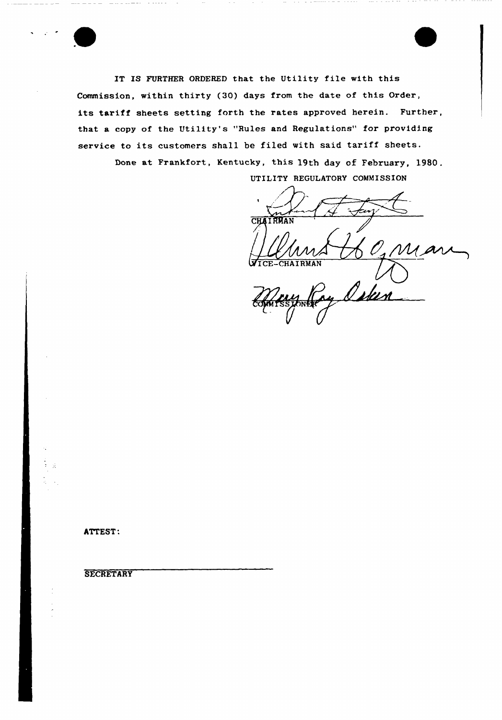

IT IS FURTHER ORDERED that the Utility file with this Commission, within thirty (30) days from the date of this Order, its tariff sheets setting forth the rates approved herein. Further, that a copy of the Utility's "Rules and Regulations" for providing service to its customers shall be filed with said tariff sheets. Done at Frankfort, Kentucky, this 19th day of February, 1980. UTILITY REGULATORY COMMISSION

CHAIRMAN M

ATTEST:

## **SECRETARY**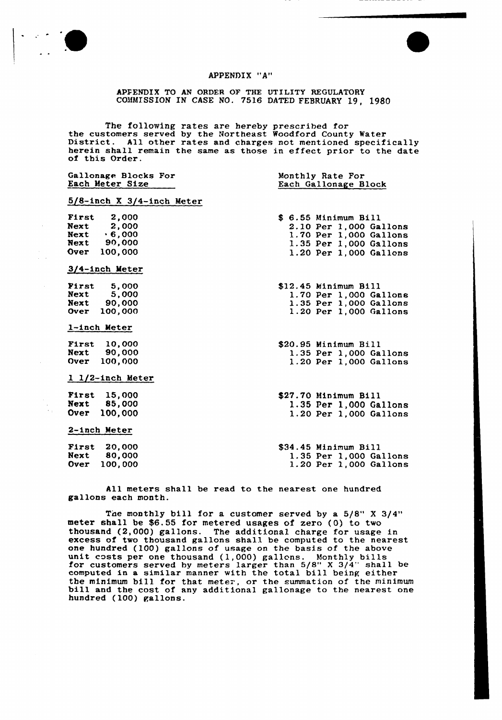

#### APPENDIX "A"

APFENDIX TO AN ORDER OF THE UTILITY REGULATORY COMMISSION IN CASE NO. 7516 DATED FEBRUARY 19, 1980

The following rates are hereby prescribed for<br>the customers served by the Northeast Woodford County Water District. All other rates and charges not mentioned specifically herein shall remain the same as those in effect prior to the date of this Order.

| Gallonage Blocks For<br>Each Meter Size |                     |                              | Monthly Rate For<br>Each Gallonage Block |                        |  |  |  |  |  |
|-----------------------------------------|---------------------|------------------------------|------------------------------------------|------------------------|--|--|--|--|--|
|                                         |                     | $5/8$ -inch X 3/4-inch Meter |                                          |                        |  |  |  |  |  |
|                                         | $First$ 2,000       |                              |                                          | \$ 6.55 Minimum Bill   |  |  |  |  |  |
|                                         | <b>Next</b> 2,000   |                              |                                          | 2.10 Per 1,000 Gallons |  |  |  |  |  |
|                                         | $Next \t\t\t 6,000$ |                              |                                          | 1.70 Per 1,000 Gallons |  |  |  |  |  |
|                                         | Next 90,000         |                              |                                          | 1.35 Per 1,000 Gallons |  |  |  |  |  |
|                                         | Over 100,000        |                              |                                          | 1.20 Per 1,000 Gallens |  |  |  |  |  |
|                                         | 3/4-inch Meter      |                              |                                          |                        |  |  |  |  |  |
|                                         | First $5,000$       |                              |                                          | \$12.45 Minimum Bill   |  |  |  |  |  |
|                                         | Next 5,000          |                              |                                          | 1.70 Per 1,000 Gallons |  |  |  |  |  |
|                                         | Next 90,000         |                              |                                          | 1.35 Per 1,000 Gallons |  |  |  |  |  |
|                                         | Over 100,000        |                              |                                          | 1.20 Per 1,000 Gallons |  |  |  |  |  |
|                                         | 1-inch Meter        |                              |                                          |                        |  |  |  |  |  |
|                                         | <b>First</b> 10,000 |                              |                                          | \$20.95 Minimum Bill   |  |  |  |  |  |
|                                         | Next 90,000         |                              |                                          | 1.35 Per 1,000 Gallons |  |  |  |  |  |
|                                         | Over 100,000        |                              |                                          | 1.20 Per 1,000 Gallons |  |  |  |  |  |
|                                         | $1$ 1/2-inch Meter  |                              |                                          |                        |  |  |  |  |  |
|                                         | <b>First</b> 15,000 |                              |                                          | \$27.70 Minimum Bill   |  |  |  |  |  |
|                                         | Next 85,000         |                              |                                          | 1.35 Per 1,000 Gallons |  |  |  |  |  |
|                                         | Over 100,000        |                              |                                          | 1.20 Per 1,000 Gallons |  |  |  |  |  |
|                                         | 2-inch Meter        |                              |                                          |                        |  |  |  |  |  |
|                                         | <b>First 20,000</b> |                              |                                          | \$34.45 Minimum Bill   |  |  |  |  |  |
|                                         | Next 80,000         |                              |                                          | 1.35 Per 1,000 Gallons |  |  |  |  |  |
|                                         | Over 100,000        |                              |                                          | 1.20 Per 1,000 Gallons |  |  |  |  |  |

All meters shall be read to the nearest one hundred gallons each month.

The monthly bill for a customer served by a 5/8" X 3/4" meter shall be \$6.55 for metered usages of zero (0) to two thousand (2,000) gallons. The additional charge for usage in excess of two thousand gallons shall be computed to the nearest one hundred (100) gallons of usage on the basis of the above unit costs per one thousand (1,000) gallons. Monthly bills for customers served hy meters larger than 5/8" <sup>X</sup> 3/4" shall be computed in a similar manner with the total bill being either the minimum bill for that meter, or the summation of the minimum bill and the cost of any additional gallonage to the nearest one hundred (100) gallons.